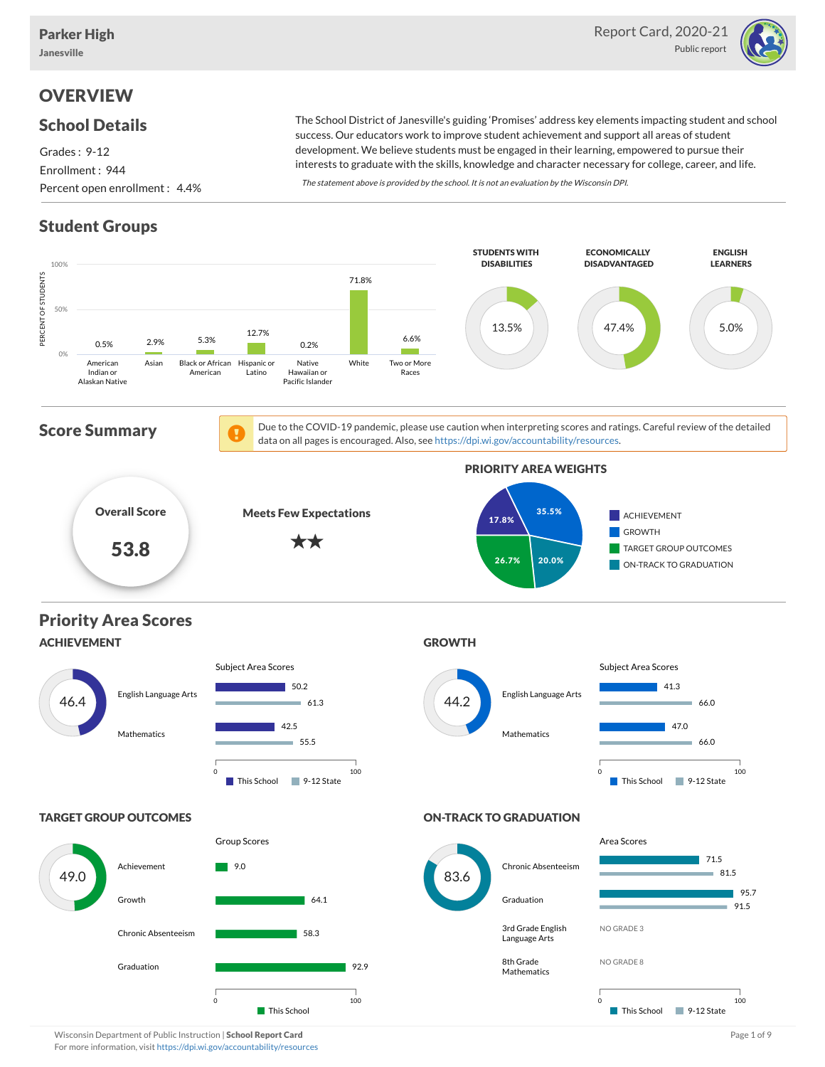

# **OVERVIEW**

#### School Details

Grades : 9-12 Enrollment : 944 Percent open enrollment : 4.4%

The School District of Janesville's guiding 'Promises' address key elements impacting student and school success. Our educators work to improve student achievement and support all areas of student development. We believe students must be engaged in their learning, empowered to pursue their interests to graduate with the skills, knowledge and character necessary for college, career, and life.

The statement above is provided by the school. It is not an evaluation by the Wisconsin DPI.

# Student Groups



Wisconsin Department of Public Instruction | School Report Card Page 1 of 9 and 2008 and 2008 and Page 1 of 9 and Page 1 of 9 and Page 1 of 9 and Page 1 of 9 and Page 1 of 9 and Page 1 of 9 and Page 1 of 9 and Page 1 of 9 For more information, visit <https://dpi.wi.gov/accountability/resources>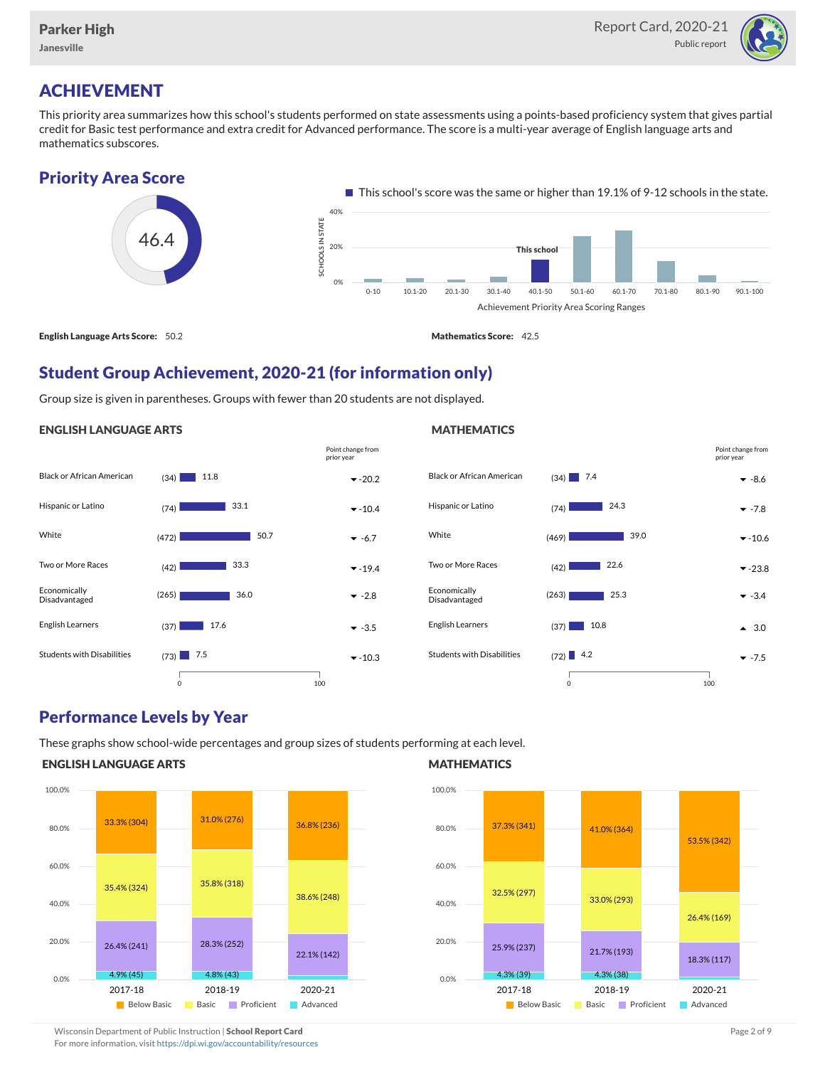

# ACHIEVEMENT

This priority area summarizes how this school's students performed on state assessments using a points-based proficiency system that gives partial credit for Basic test performance and extra credit for Advanced performance. The score is a multi-year average of English language arts and mathematics subscores.



English Language Arts Score: 50.2 Mathematics Score: 42.5

# Student Group Achievement, 2020-21 (for information only)

Group size is given in parentheses. Groups with fewer than 20 students are not displayed.

#### ENGLISH LANGUAGE ARTS





#### Performance Levels by Year

These graphs show school-wide percentages and group sizes of students performing at each level.

#### ENGLISH LANGUAGE ARTS



#### **MATHEMATICS**



Wisconsin Department of Public Instruction | School Report Card Page 2 of 9 and 2008 and 2009 and 2 of 9 and 2 of 9 and 2 of 9 and 2 of 9 and 2 of 9 and 2 of 9 and 2 of 9 and 2 of 9 and 2 of 9 and 2 of 9 and 2 of 9 and 2 o For more information, visit <https://dpi.wi.gov/accountability/resources>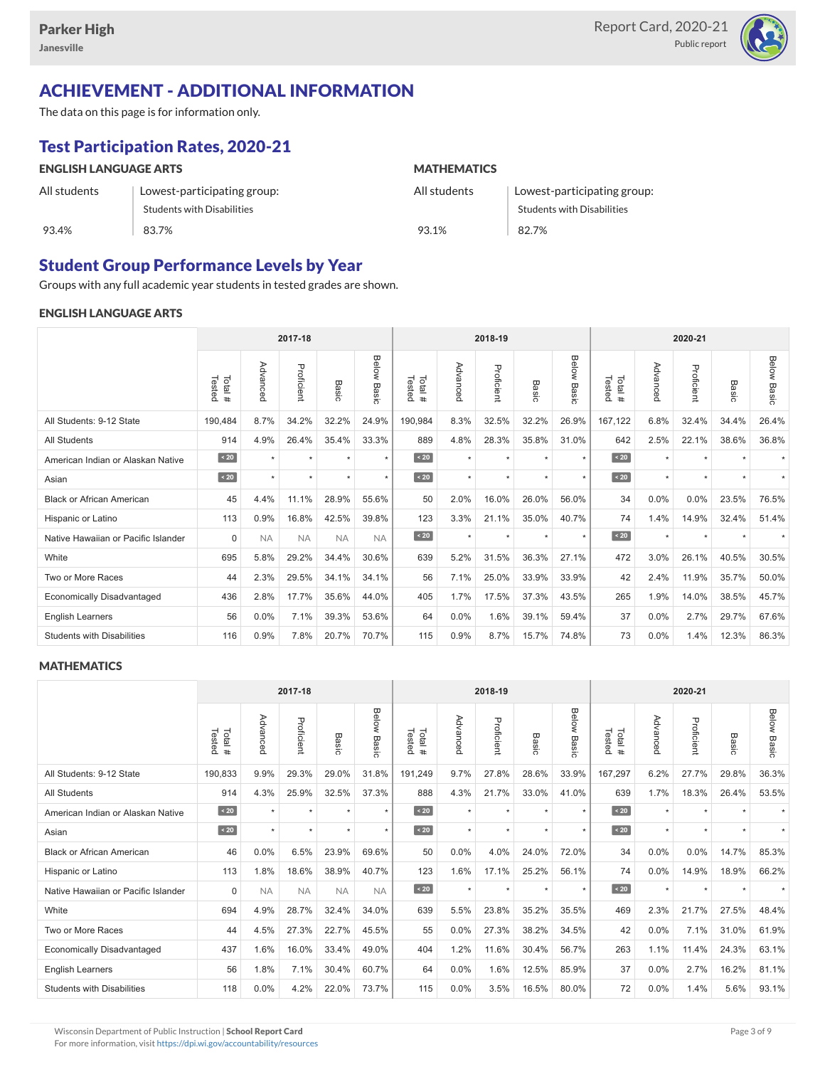

# ACHIEVEMENT - ADDITIONAL INFORMATION

The data on this page is for information only.

# Test Participation Rates, 2020-21

| <b>ENGLISH LANGUAGE ARTS</b> |                                   | <b>MATHEMATICS</b> |                             |  |  |  |  |
|------------------------------|-----------------------------------|--------------------|-----------------------------|--|--|--|--|
| All students                 | Lowest-participating group:       | All students       | Lowest-participating group: |  |  |  |  |
|                              | <b>Students with Disabilities</b> |                    | Students with Disabilities  |  |  |  |  |
| 93.4%                        | 83.7%                             | 93.1%              | 82.7%                       |  |  |  |  |

### Student Group Performance Levels by Year

Groups with any full academic year students in tested grades are shown.

#### ENGLISH LANGUAGE ARTS

|                                     |                  | 2017-18              |            |           |                |                  |          | 2018-19    |                      |                |                  | 2020-21  |            |                      |                    |
|-------------------------------------|------------------|----------------------|------------|-----------|----------------|------------------|----------|------------|----------------------|----------------|------------------|----------|------------|----------------------|--------------------|
|                                     | Tested<br>Total# | Advanced             | Proficient | Basic     | Below<br>Basic | Tested<br>Total# | Advanced | Proficient | Basic                | Below<br>Basic | Tested<br>Total# | Advanced | Proficient | Basic                | <b>Below Basic</b> |
| All Students: 9-12 State            | 190,484          | 8.7%                 | 34.2%      | 32.2%     | 24.9%          | 190,984          | 8.3%     | 32.5%      | 32.2%                | 26.9%          | 167,122          | 6.8%     | 32.4%      | 34.4%                | 26.4%              |
| <b>All Students</b>                 | 914              | 4.9%                 | 26.4%      | 35.4%     | 33.3%          | 889              | 4.8%     | 28.3%      | 35.8%                | 31.0%          | 642              | 2.5%     | 22.1%      | 38.6%                | 36.8%              |
| American Indian or Alaskan Native   | $\sim 20$        | $\star$              | $\star$    | $\star$   | $\star$        | $\sim 20$        | $\star$  | $\star$    | $\star$              | $\star$        | $\sim 20$        | $\star$  | $\star$    |                      |                    |
| Asian                               | $\angle 20$      | $\ddot{\phantom{1}}$ | $\star$    | $\star$   | $\star$        | $\angle 20$      | $\star$  | $\star$    | $\ddot{\phantom{1}}$ | $\star$        | $\angle 20$      | $\star$  | $\star$    | $\ddot{\phantom{1}}$ |                    |
| <b>Black or African American</b>    | 45               | 4.4%                 | 11.1%      | 28.9%     | 55.6%          | 50               | 2.0%     | 16.0%      | 26.0%                | 56.0%          | 34               | 0.0%     | 0.0%       | 23.5%                | 76.5%              |
| Hispanic or Latino                  | 113              | 0.9%                 | 16.8%      | 42.5%     | 39.8%          | 123              | 3.3%     | 21.1%      | 35.0%                | 40.7%          | 74               | 1.4%     | 14.9%      | 32.4%                | 51.4%              |
| Native Hawaiian or Pacific Islander | $\mathbf 0$      | <b>NA</b>            | <b>NA</b>  | <b>NA</b> | <b>NA</b>      | $\sim 20$        | $\star$  | $\star$    | $\star$              | $\star$        | $\leq 20$        | $\star$  | $\star$    |                      |                    |
| White                               | 695              | 5.8%                 | 29.2%      | 34.4%     | 30.6%          | 639              | 5.2%     | 31.5%      | 36.3%                | 27.1%          | 472              | 3.0%     | 26.1%      | 40.5%                | 30.5%              |
| Two or More Races                   | 44               | 2.3%                 | 29.5%      | 34.1%     | 34.1%          | 56               | 7.1%     | 25.0%      | 33.9%                | 33.9%          | 42               | 2.4%     | 11.9%      | 35.7%                | 50.0%              |
| <b>Economically Disadvantaged</b>   | 436              | 2.8%                 | 17.7%      | 35.6%     | 44.0%          | 405              | 1.7%     | 17.5%      | 37.3%                | 43.5%          | 265              | 1.9%     | 14.0%      | 38.5%                | 45.7%              |
| English Learners                    | 56               | 0.0%                 | 7.1%       | 39.3%     | 53.6%          | 64               | 0.0%     | 1.6%       | 39.1%                | 59.4%          | 37               | 0.0%     | 2.7%       | 29.7%                | 67.6%              |
| <b>Students with Disabilities</b>   | 116              | 0.9%                 | 7.8%       | 20.7%     | 70.7%          | 115              | 0.9%     | 8.7%       | 15.7%                | 74.8%          | 73               | 0.0%     | 1.4%       | 12.3%                | 86.3%              |

#### **MATHEMATICS**

|                                     |                   | 2017-18   |            |           |                |                         |          | 2018-19    |            |                       |                  | 2020-21  |            |         |                    |
|-------------------------------------|-------------------|-----------|------------|-----------|----------------|-------------------------|----------|------------|------------|-----------------------|------------------|----------|------------|---------|--------------------|
|                                     | Tested<br>Total # | Advanced  | Proficient | Basic     | Below<br>Basic | Total #<br>Tested       | Advanced | Proficient | Bas<br>ਨੌਂ | <b>Below</b><br>Basic | Tested<br>Total# | Advanced | Proficient | Basic   | <b>Below Basic</b> |
| All Students: 9-12 State            | 190,833           | 9.9%      | 29.3%      | 29.0%     | 31.8%          | 191,249                 | 9.7%     | 27.8%      | 28.6%      | 33.9%                 | 167,297          | 6.2%     | 27.7%      | 29.8%   | 36.3%              |
| <b>All Students</b>                 | 914               | 4.3%      | 25.9%      | 32.5%     | 37.3%          | 888                     | 4.3%     | 21.7%      | 33.0%      | 41.0%                 | 639              | 1.7%     | 18.3%      | 26.4%   | 53.5%              |
| American Indian or Alaskan Native   | $\angle 20$       | $\star$   | $\star$    |           | $\star$        | $\sim 20$               | $\star$  | $\star$    | $\star$    | $\star$               | $\sim 20$        | $\star$  | $\star$    |         |                    |
| Asian                               | $\angle 20$       | $\star$   | $\star$    | $\star$   | $\star$        | $\overline{\big }$ < 20 | $\star$  | $\star$    | $\star$    | $\star$               | $\angle 20$      | $\star$  | $\star$    | $\star$ |                    |
| <b>Black or African American</b>    | 46                | 0.0%      | 6.5%       | 23.9%     | 69.6%          | 50                      | 0.0%     | 4.0%       | 24.0%      | 72.0%                 | 34               | 0.0%     | 0.0%       | 14.7%   | 85.3%              |
| Hispanic or Latino                  | 113               | 1.8%      | 18.6%      | 38.9%     | 40.7%          | 123                     | 1.6%     | 17.1%      | 25.2%      | 56.1%                 | 74               | 0.0%     | 14.9%      | 18.9%   | 66.2%              |
| Native Hawaiian or Pacific Islander | $\Omega$          | <b>NA</b> | <b>NA</b>  | <b>NA</b> | <b>NA</b>      | $\vert$ < 20            | $\star$  | $\star$    | $\star$    | $\star$               | $\sim 20$        | $\star$  | $\star$    |         |                    |
| White                               | 694               | 4.9%      | 28.7%      | 32.4%     | 34.0%          | 639                     | 5.5%     | 23.8%      | 35.2%      | 35.5%                 | 469              | 2.3%     | 21.7%      | 27.5%   | 48.4%              |
| Two or More Races                   | 44                | 4.5%      | 27.3%      | 22.7%     | 45.5%          | 55                      | 0.0%     | 27.3%      | 38.2%      | 34.5%                 | 42               | 0.0%     | 7.1%       | 31.0%   | 61.9%              |
| <b>Economically Disadvantaged</b>   | 437               | 1.6%      | 16.0%      | 33.4%     | 49.0%          | 404                     | 1.2%     | 11.6%      | 30.4%      | 56.7%                 | 263              | 1.1%     | 11.4%      | 24.3%   | 63.1%              |
| English Learners                    | 56                | 1.8%      | 7.1%       | 30.4%     | 60.7%          | 64                      | 0.0%     | 1.6%       | 12.5%      | 85.9%                 | 37               | 0.0%     | 2.7%       | 16.2%   | 81.1%              |
| <b>Students with Disabilities</b>   | 118               | 0.0%      | 4.2%       | 22.0%     | 73.7%          | 115                     | 0.0%     | 3.5%       | 16.5%      | 80.0%                 | 72               | 0.0%     | 1.4%       | 5.6%    | 93.1%              |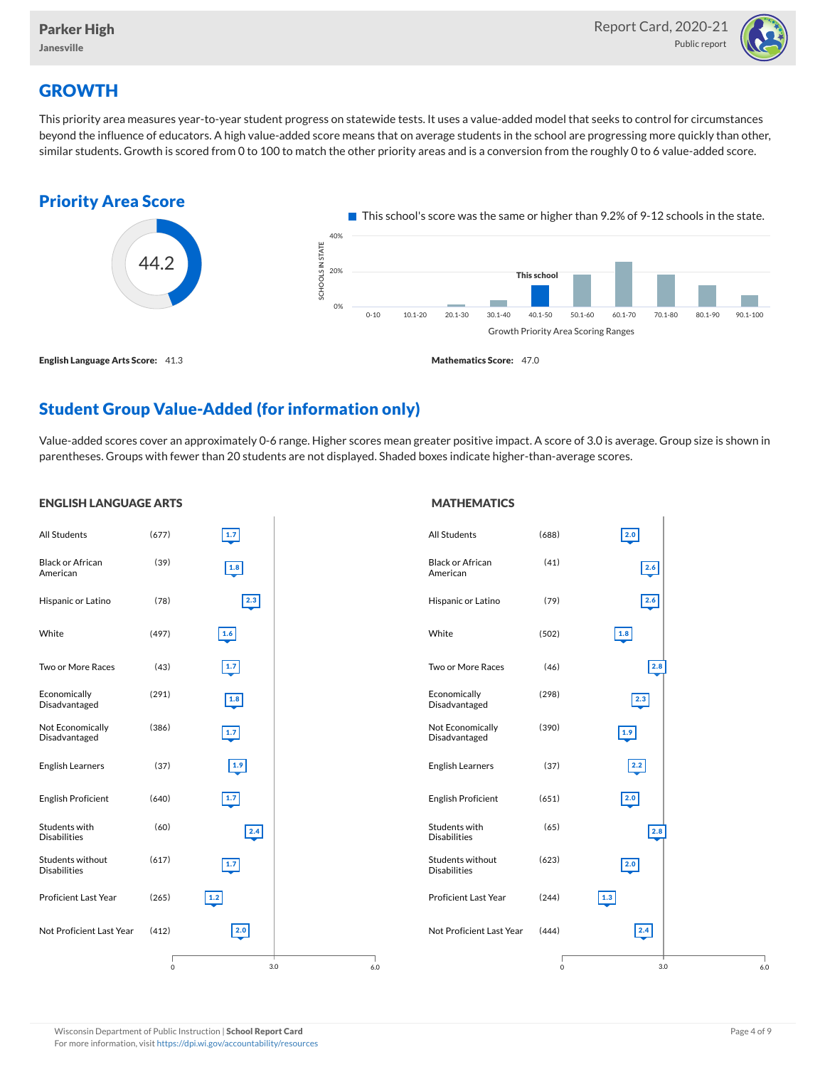

# **GROWTH**

ENGLISH LANGUAGE ARTS

This priority area measures year-to-year student progress on statewide tests. It uses a value-added model that seeks to control for circumstances beyond the influence of educators. A high value-added score means that on average students in the school are progressing more quickly than other, similar students. Growth is scored from 0 to 100 to match the other priority areas and is a conversion from the roughly 0 to 6 value-added score.



# Student Group Value-Added (for information only)

Value-added scores cover an approximately 0-6 range. Higher scores mean greater positive impact. A score of 3.0 is average. Group size is shown in parentheses. Groups with fewer than 20 students are not displayed. Shaded boxes indicate higher-than-average scores.

**MATHEMATICS** 

#### All Students (677) Black or African American (39) Hispanic or Latino (78) White (497) Two or More Races (43) Economically Disadvantaged (291) Not Economically Disadvantaged (386) English Learners (37) English Proficient (640) Students with Disabilities (60) Students without Disabilities (617) Proficient Last Year (265) Not Proficient Last Year (412) 3.0 1.7  $\boxed{1.8}$ 2.3 1.6 1.7 1.8 1.7 1.9 1.7  $\boxed{2.4}$ 1.7 1.2 2.0 0 6.0 All Students (688) Black or African American (41) Hispanic or Latino (79) White (502) Two or More Races (46) Economically Disadvantaged (298) Not Economically Disadvantaged (390) English Learners (37) English Proficient (651) Students with Disabilities (65) Students without Disabilities (623) Proficient Last Year (244) Not Proficient Last Year (444) 3.0 2.0 2.6 2.6 1.8 2.8  $|2.3|$ 1.9 2.2 2.0 2.8 2.0 1.3 2.4 0 6.0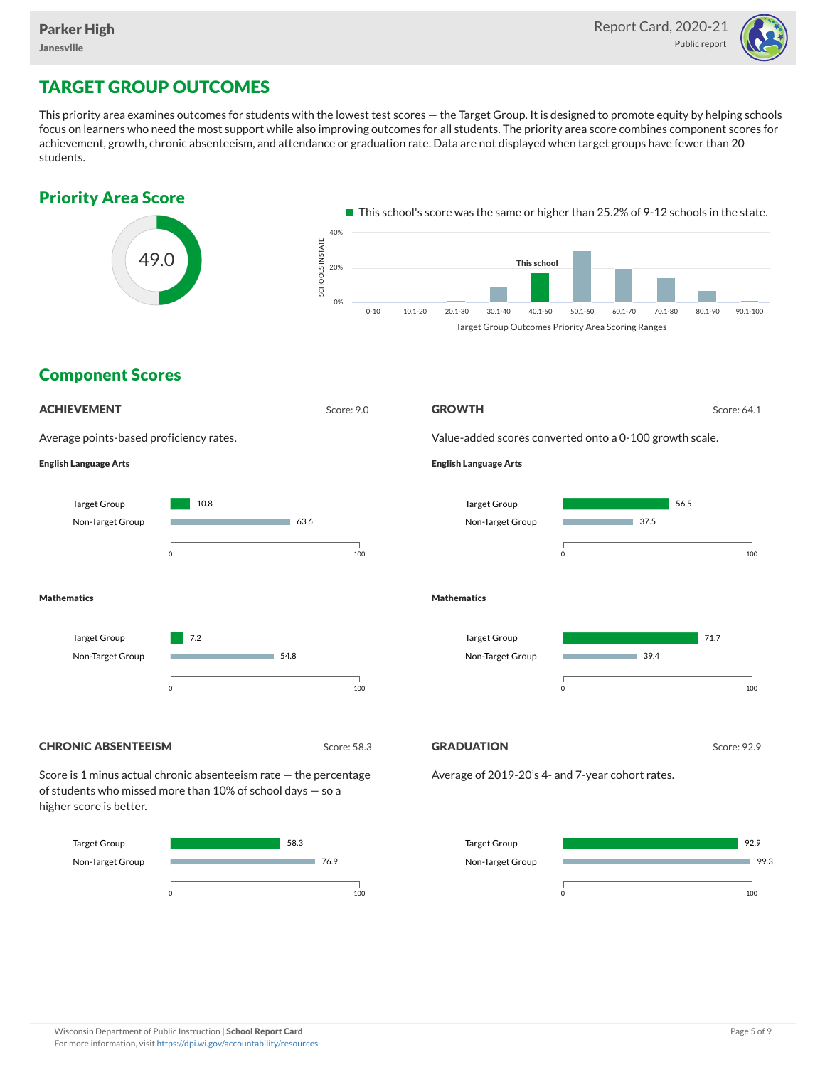

# TARGET GROUP OUTCOMES

This priority area examines outcomes for students with the lowest test scores — the Target Group. It is designed to promote equity by helping schools focus on learners who need the most support while also improving outcomes for all students. The priority area score combines component scores for achievement, growth, chronic absenteeism, and attendance or graduation rate. Data are not displayed when target groups have fewer than 20 students.



0 100

0 100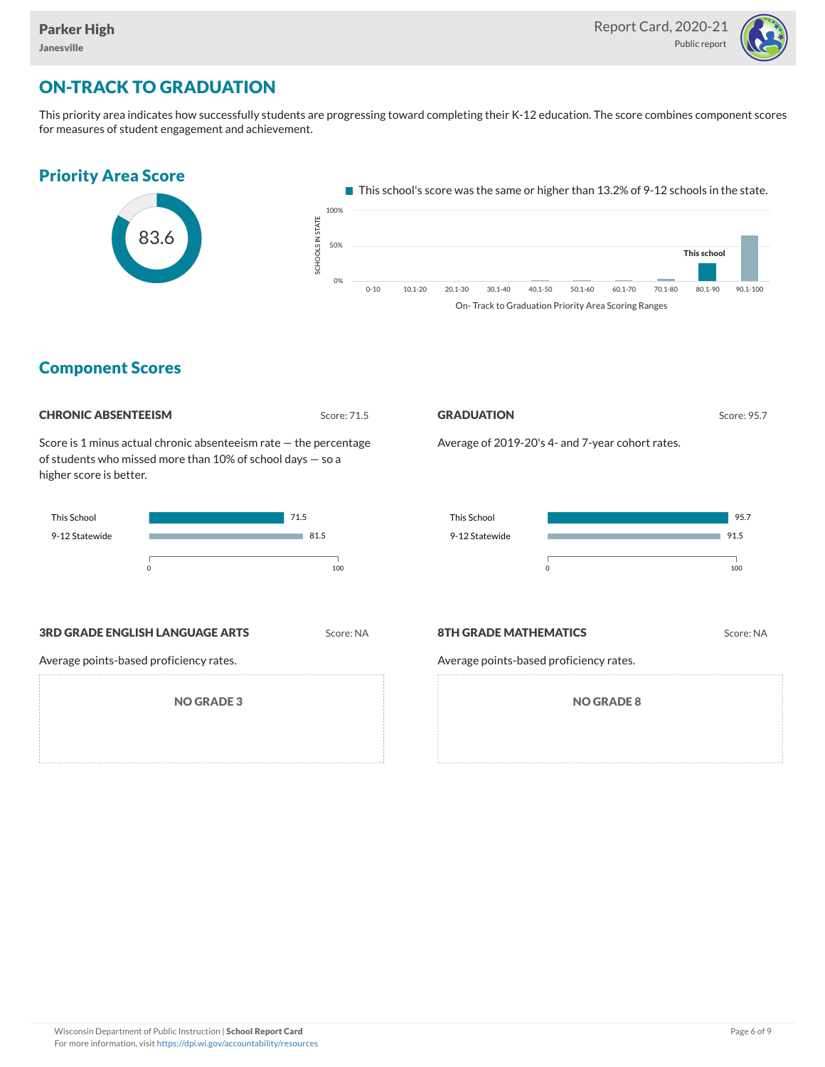

# ON-TRACK TO GRADUATION

This priority area indicates how successfully students are progressing toward completing their K-12 education. The score combines component scores for measures of student engagement and achievement.



### Component Scores

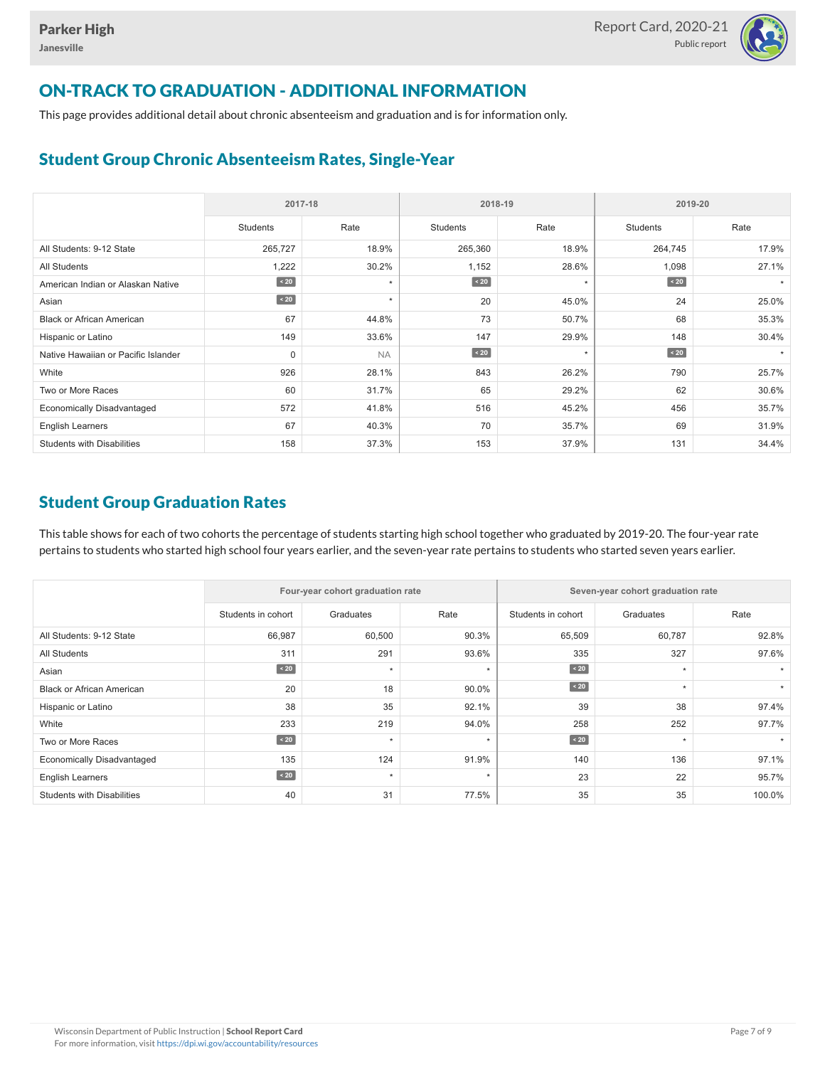

# ON-TRACK TO GRADUATION - ADDITIONAL INFORMATION

This page provides additional detail about chronic absenteeism and graduation and is for information only.

## Student Group Chronic Absenteeism Rates, Single-Year

|                                     | 2017-18     |           |                 | 2018-19 | 2019-20         |       |  |  |
|-------------------------------------|-------------|-----------|-----------------|---------|-----------------|-------|--|--|
|                                     | Students    | Rate      | <b>Students</b> | Rate    | <b>Students</b> | Rate  |  |  |
| All Students: 9-12 State            | 265,727     | 18.9%     | 265,360         | 18.9%   | 264,745         | 17.9% |  |  |
| <b>All Students</b>                 | 1,222       | 30.2%     | 1,152           | 28.6%   | 1,098           | 27.1% |  |  |
| American Indian or Alaskan Native   | $\sim 20$   | $\star$   | $\sim 20$       | $\star$ | $\sim 20$       |       |  |  |
| Asian                               | $\angle 20$ | $\star$   | 20              | 45.0%   | 24              | 25.0% |  |  |
| <b>Black or African American</b>    | 67          | 44.8%     | 73              | 50.7%   | 68              | 35.3% |  |  |
| Hispanic or Latino                  | 149         | 33.6%     | 147             | 29.9%   | 148             | 30.4% |  |  |
| Native Hawaiian or Pacific Islander | 0           | <b>NA</b> | $\sim 20$       | $\star$ | $\angle 20$     |       |  |  |
| White                               | 926         | 28.1%     | 843             | 26.2%   | 790             | 25.7% |  |  |
| Two or More Races                   | 60          | 31.7%     | 65              | 29.2%   | 62              | 30.6% |  |  |
| <b>Economically Disadvantaged</b>   | 572         | 41.8%     | 516             | 45.2%   | 456             | 35.7% |  |  |
| <b>English Learners</b>             | 67          | 40.3%     | 70              | 35.7%   | 69              | 31.9% |  |  |
| <b>Students with Disabilities</b>   | 158         | 37.3%     | 153             | 37.9%   | 131             | 34.4% |  |  |

## Student Group Graduation Rates

This table shows for each of two cohorts the percentage of students starting high school together who graduated by 2019-20. The four-year rate pertains to students who started high school four years earlier, and the seven-year rate pertains to students who started seven years earlier.

|                                   |                    | Four-year cohort graduation rate |         | Seven-year cohort graduation rate |           |        |  |  |
|-----------------------------------|--------------------|----------------------------------|---------|-----------------------------------|-----------|--------|--|--|
|                                   | Students in cohort | Graduates                        | Rate    | Students in cohort                | Graduates | Rate   |  |  |
| All Students: 9-12 State          | 66,987             | 60,500                           | 90.3%   | 65,509                            | 60,787    | 92.8%  |  |  |
| <b>All Students</b>               | 311                | 291                              | 93.6%   | 335                               | 327       | 97.6%  |  |  |
| Asian                             | $\angle 20$        | $\star$                          | $\star$ | $\angle 20$                       | $\star$   |        |  |  |
| <b>Black or African American</b>  | 20                 | 18                               | 90.0%   | $\angle 20$                       | $\star$   |        |  |  |
| Hispanic or Latino                | 38                 | 35                               | 92.1%   | 39                                | 38        | 97.4%  |  |  |
| White                             | 233                | 219                              | 94.0%   | 258                               | 252       | 97.7%  |  |  |
| Two or More Races                 | $\angle 20$        | $\ddot{}$                        | ٠       | $\angle 20$                       | $\star$   |        |  |  |
| <b>Economically Disadvantaged</b> | 135                | 124                              | 91.9%   | 140                               | 136       | 97.1%  |  |  |
| <b>English Learners</b>           | $\angle 20$        | $\star$                          | $\star$ | 23                                | 22        | 95.7%  |  |  |
| <b>Students with Disabilities</b> | 40                 | 31                               | 77.5%   | 35                                | 35        | 100.0% |  |  |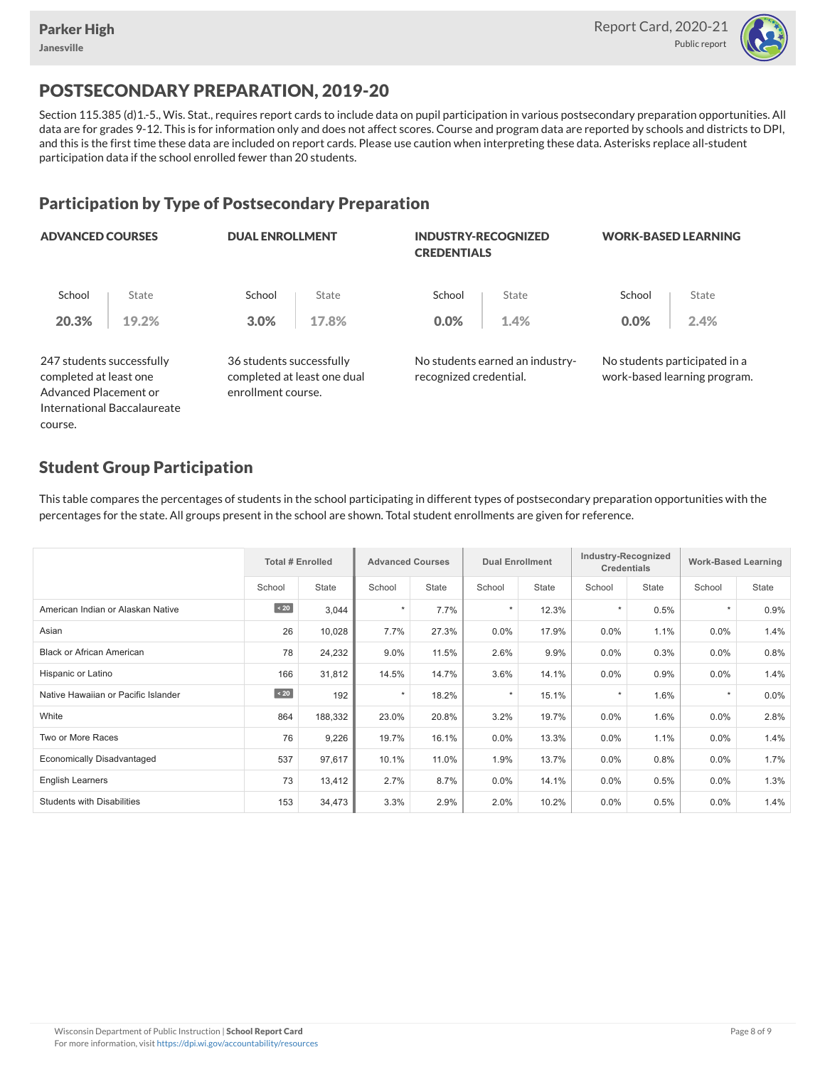course.



# POSTSECONDARY PREPARATION, 2019-20

Section 115.385 (d)1.-5., Wis. Stat., requires report cards to include data on pupil participation in various postsecondary preparation opportunities. All data are for grades 9-12. This is for information only and does not affect scores. Course and program data are reported by schools and districts to DPI, and this is the first time these data are included on report cards. Please use caution when interpreting these data. Asterisks replace all-student participation data if the school enrolled fewer than 20 students.

## Participation by Type of Postsecondary Preparation

| <b>ADVANCED COURSES</b>                                                      |                             | <b>DUAL ENROLLMENT</b>                                                        |       | <b>INDUSTRY-RECOGNIZED</b><br><b>CREDENTIALS</b> |                                 | <b>WORK-BASED LEARNING</b>                                    |       |  |  |
|------------------------------------------------------------------------------|-----------------------------|-------------------------------------------------------------------------------|-------|--------------------------------------------------|---------------------------------|---------------------------------------------------------------|-------|--|--|
| School                                                                       | State                       | School                                                                        | State | School                                           | State                           | School                                                        | State |  |  |
| 20.3%                                                                        | 19.2%                       | 3.0%                                                                          | 17.8% | 0.0%                                             | 1.4%                            | 0.0%                                                          | 2.4%  |  |  |
| 247 students successfully<br>completed at least one<br>Advanced Placement or |                             | 36 students successfully<br>completed at least one dual<br>enrollment course. |       | recognized credential.                           | No students earned an industry- | No students participated in a<br>work-based learning program. |       |  |  |
|                                                                              | International Baccalaureate |                                                                               |       |                                                  |                                 |                                                               |       |  |  |

## Student Group Participation

This table compares the percentages of students in the school participating in different types of postsecondary preparation opportunities with the percentages for the state. All groups present in the school are shown. Total student enrollments are given for reference.

|                                     | <b>Total # Enrolled</b> |         | <b>Advanced Courses</b> |              | <b>Dual Enrollment</b> |              | Industry-Recognized<br><b>Credentials</b> |       | <b>Work-Based Learning</b> |              |
|-------------------------------------|-------------------------|---------|-------------------------|--------------|------------------------|--------------|-------------------------------------------|-------|----------------------------|--------------|
|                                     | School                  | State   | School                  | <b>State</b> | School                 | <b>State</b> | School                                    | State | School                     | <b>State</b> |
| American Indian or Alaskan Native   | $\sim 20$               | 3,044   | $\star$                 | 7.7%         | $\star$                | 12.3%        |                                           | 0.5%  | $\star$                    | 0.9%         |
| Asian                               | 26                      | 10,028  | 7.7%                    | 27.3%        | 0.0%                   | 17.9%        | 0.0%                                      | 1.1%  | $0.0\%$                    | 1.4%         |
| <b>Black or African American</b>    | 78                      | 24,232  | 9.0%                    | 11.5%        | 2.6%                   | 9.9%         | 0.0%                                      | 0.3%  | $0.0\%$                    | 0.8%         |
| Hispanic or Latino                  | 166                     | 31,812  | 14.5%                   | 14.7%        | 3.6%                   | 14.1%        | 0.0%                                      | 0.9%  | $0.0\%$                    | 1.4%         |
| Native Hawaiian or Pacific Islander | $\sim$ 20               | 192     | $\star$                 | 18.2%        | $\star$                | 15.1%        |                                           | 1.6%  | $\star$                    | 0.0%         |
| White                               | 864                     | 188,332 | 23.0%                   | 20.8%        | 3.2%                   | 19.7%        | 0.0%                                      | 1.6%  | 0.0%                       | 2.8%         |
| Two or More Races                   | 76                      | 9,226   | 19.7%                   | 16.1%        | $0.0\%$                | 13.3%        | 0.0%                                      | 1.1%  | $0.0\%$                    | 1.4%         |
| <b>Economically Disadvantaged</b>   | 537                     | 97,617  | 10.1%                   | 11.0%        | 1.9%                   | 13.7%        | 0.0%                                      | 0.8%  | 0.0%                       | 1.7%         |
| <b>English Learners</b>             | 73                      | 13,412  | 2.7%                    | 8.7%         | $0.0\%$                | 14.1%        | $0.0\%$                                   | 0.5%  | $0.0\%$                    | 1.3%         |
| <b>Students with Disabilities</b>   | 153                     | 34,473  | 3.3%                    | 2.9%         | 2.0%                   | 10.2%        | 0.0%                                      | 0.5%  | 0.0%                       | 1.4%         |